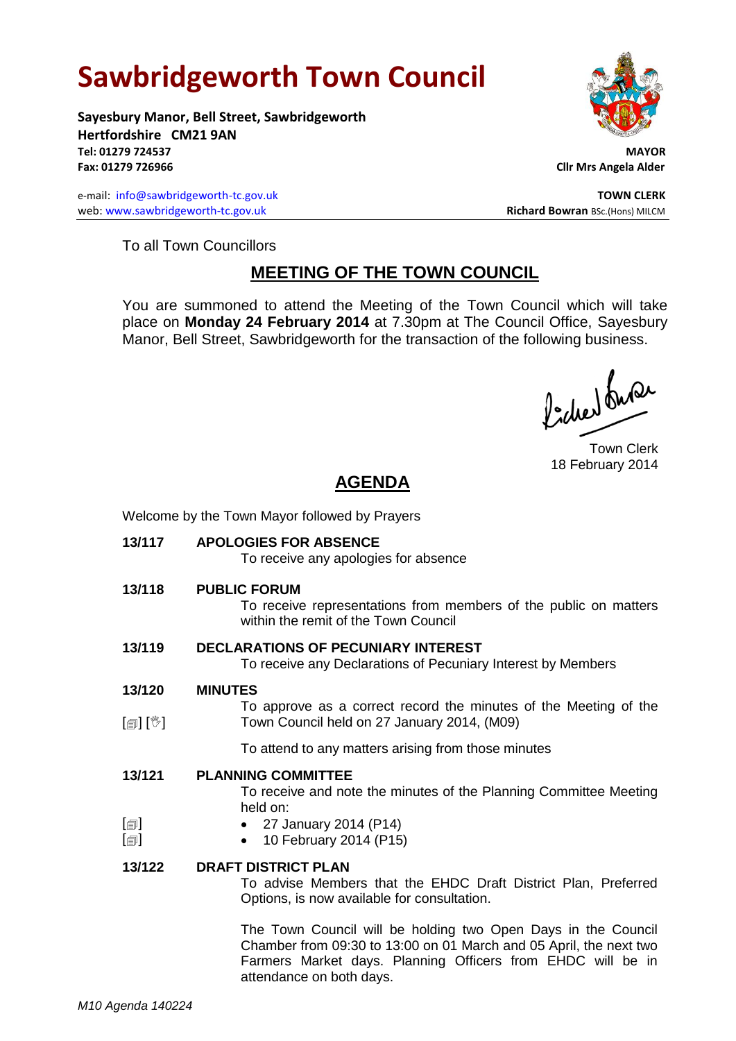# **Sawbridgeworth Town Council**

**Sayesbury Manor, Bell Street, Sawbridgeworth Hertfordshire CM21 9AN Tel: 01279 724537 MAYOR Fax: 01279 726966 Cllr Mrs Angela Alder**

e-mail: [info@sawbridgeworth-tc.gov.uk](mailto:info@sawbridgeworth-tc.gov.uk) **TOWN CLERK** web: www.sawbridgeworth-tc.gov.uk<br> **Richard Bowran** BSc.(Hons) MILCM



To all Town Councillors

# **MEETING OF THE TOWN COUNCIL**

You are summoned to attend the Meeting of the Town Council which will take place on **Monday 24 February 2014** at 7.30pm at The Council Office, Sayesbury Manor, Bell Street, Sawbridgeworth for the transaction of the following business.

Picked buran

Town Clerk 18 February 2014

# **AGENDA**

Welcome by the Town Mayor followed by Prayers

**13/117 APOLOGIES FOR ABSENCE** To receive any apologies for absence **13/118 PUBLIC FORUM** To receive representations from members of the public on matters within the remit of the Town Council **13/119 DECLARATIONS OF PECUNIARY INTEREST** To receive any Declarations of Pecuniary Interest by Members **13/120**  $\lceil$  [ $\mathbb{I}$ ]  $\lceil \mathbb{V} \rceil$ **MINUTES** To approve as a correct record the minutes of the Meeting of the Town Council held on 27 January 2014, (M09) To attend to any matters arising from those minutes **13/121**  $\lceil$  $\blacksquare$  $\lceil$  $\blacksquare$ **PLANNING COMMITTEE** To receive and note the minutes of the Planning Committee Meeting held on: 27 January 2014 (P14) • 10 February 2014 (P15) **13/122 DRAFT DISTRICT PLAN** To advise Members that the EHDC Draft District Plan, Preferred Options, is now available for consultation. The Town Council will be holding two Open Days in the Council Chamber from 09:30 to 13:00 on 01 March and 05 April, the next two Farmers Market days. Planning Officers from EHDC will be in

attendance on both days.